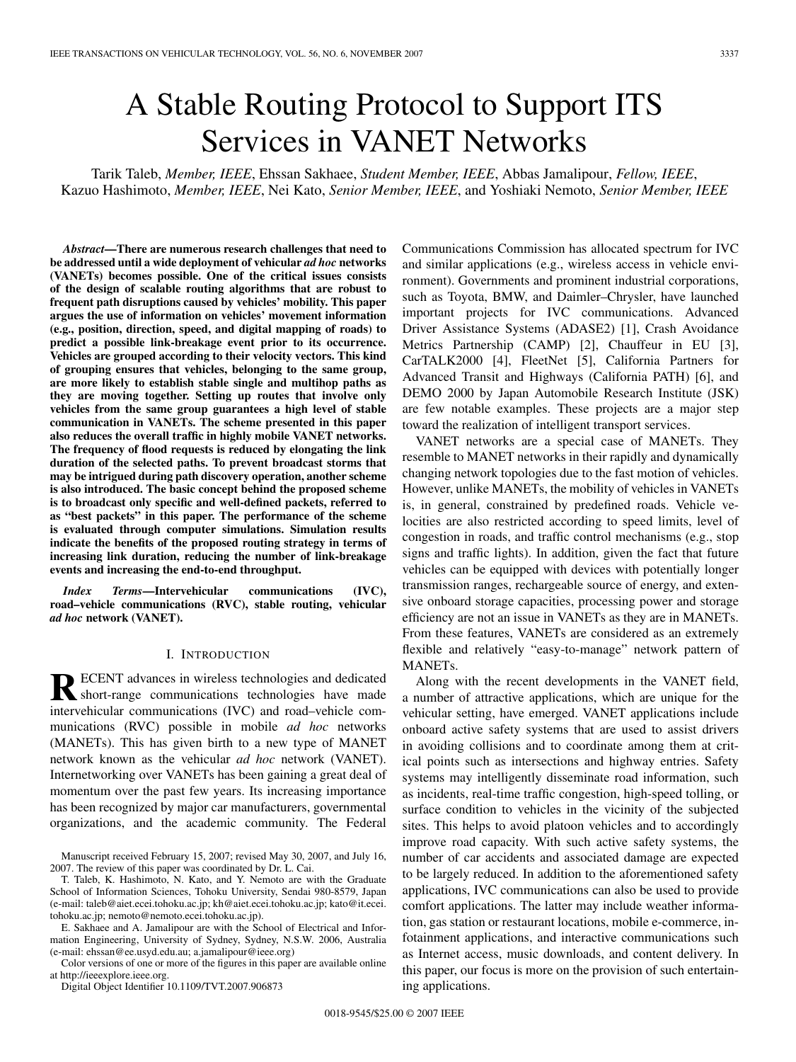# A Stable Routing Protocol to Support ITS Services in VANET Networks

Tarik Taleb, *Member, IEEE*, Ehssan Sakhaee, *Student Member, IEEE*, Abbas Jamalipour, *Fellow, IEEE*, Kazuo Hashimoto, *Member, IEEE*, Nei Kato, *Senior Member, IEEE*, and Yoshiaki Nemoto, *Senior Member, IEEE*

*Abstract***—There are numerous research challenges that need to be addressed until a wide deployment of vehicular** *ad hoc* **networks (VANETs) becomes possible. One of the critical issues consists of the design of scalable routing algorithms that are robust to frequent path disruptions caused by vehicles' mobility. This paper argues the use of information on vehicles' movement information (e.g., position, direction, speed, and digital mapping of roads) to predict a possible link-breakage event prior to its occurrence. Vehicles are grouped according to their velocity vectors. This kind of grouping ensures that vehicles, belonging to the same group, are more likely to establish stable single and multihop paths as they are moving together. Setting up routes that involve only vehicles from the same group guarantees a high level of stable communication in VANETs. The scheme presented in this paper also reduces the overall traffic in highly mobile VANET networks. The frequency of flood requests is reduced by elongating the link duration of the selected paths. To prevent broadcast storms that may be intrigued during path discovery operation, another scheme is also introduced. The basic concept behind the proposed scheme is to broadcast only specific and well-defined packets, referred to as "best packets" in this paper. The performance of the scheme is evaluated through computer simulations. Simulation results indicate the benefits of the proposed routing strategy in terms of increasing link duration, reducing the number of link-breakage events and increasing the end-to-end throughput.**

*Index Terms***—Intervehicular communications (IVC), road–vehicle communications (RVC), stable routing, vehicular** *ad hoc* **network (VANET).**

#### I. INTRODUCTION

**RECENT** advances in wireless technologies and dedicated<br>short-range communications technologies have made intervehicular communications (IVC) and road–vehicle communications (RVC) possible in mobile *ad hoc* networks (MANETs). This has given birth to a new type of MANET network known as the vehicular *ad hoc* network (VANET). Internetworking over VANETs has been gaining a great deal of momentum over the past few years. Its increasing importance has been recognized by major car manufacturers, governmental organizations, and the academic community. The Federal

Manuscript received February 15, 2007; revised May 30, 2007, and July 16, 2007. The review of this paper was coordinated by Dr. L. Cai.

T. Taleb, K. Hashimoto, N. Kato, and Y. Nemoto are with the Graduate School of Information Sciences, Tohoku University, Sendai 980-8579, Japan (e-mail: taleb@aiet.ecei.tohoku.ac.jp; kh@aiet.ecei.tohoku.ac.jp; kato@it.ecei. tohoku.ac.jp; nemoto@nemoto.ecei.tohoku.ac.jp).

E. Sakhaee and A. Jamalipour are with the School of Electrical and Information Engineering, University of Sydney, Sydney, N.S.W. 2006, Australia (e-mail: ehssan@ee.usyd.edu.au; a.jamalipour@ieee.org)

Color versions of one or more of the figures in this paper are available online at http://ieeexplore.ieee.org.

Digital Object Identifier 10.1109/TVT.2007.906873

Communications Commission has allocated spectrum for IVC and similar applications (e.g., wireless access in vehicle environment). Governments and prominent industrial corporations, such as Toyota, BMW, and Daimler–Chrysler, have launched important projects for IVC communications. Advanced Driver Assistance Systems (ADASE2) [1], Crash Avoidance Metrics Partnership (CAMP) [2], Chauffeur in EU [3], CarTALK2000 [4], FleetNet [5], California Partners for Advanced Transit and Highways (California PATH) [6], and DEMO 2000 by Japan Automobile Research Institute (JSK) are few notable examples. These projects are a major step toward the realization of intelligent transport services.

VANET networks are a special case of MANETs. They resemble to MANET networks in their rapidly and dynamically changing network topologies due to the fast motion of vehicles. However, unlike MANETs, the mobility of vehicles in VANETs is, in general, constrained by predefined roads. Vehicle velocities are also restricted according to speed limits, level of congestion in roads, and traffic control mechanisms (e.g., stop signs and traffic lights). In addition, given the fact that future vehicles can be equipped with devices with potentially longer transmission ranges, rechargeable source of energy, and extensive onboard storage capacities, processing power and storage efficiency are not an issue in VANETs as they are in MANETs. From these features, VANETs are considered as an extremely flexible and relatively "easy-to-manage" network pattern of MANETs.

Along with the recent developments in the VANET field, a number of attractive applications, which are unique for the vehicular setting, have emerged. VANET applications include onboard active safety systems that are used to assist drivers in avoiding collisions and to coordinate among them at critical points such as intersections and highway entries. Safety systems may intelligently disseminate road information, such as incidents, real-time traffic congestion, high-speed tolling, or surface condition to vehicles in the vicinity of the subjected sites. This helps to avoid platoon vehicles and to accordingly improve road capacity. With such active safety systems, the number of car accidents and associated damage are expected to be largely reduced. In addition to the aforementioned safety applications, IVC communications can also be used to provide comfort applications. The latter may include weather information, gas station or restaurant locations, mobile e-commerce, infotainment applications, and interactive communications such as Internet access, music downloads, and content delivery. In this paper, our focus is more on the provision of such entertaining applications.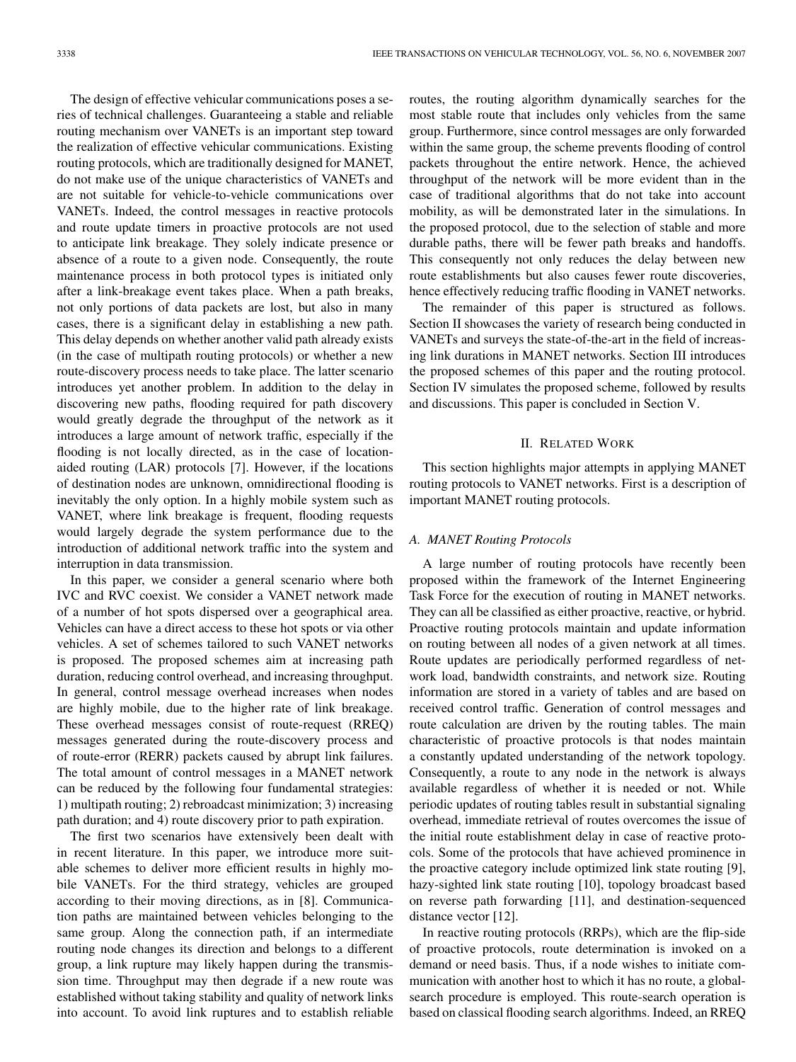The design of effective vehicular communications poses a series of technical challenges. Guaranteeing a stable and reliable routing mechanism over VANETs is an important step toward the realization of effective vehicular communications. Existing routing protocols, which are traditionally designed for MANET, do not make use of the unique characteristics of VANETs and are not suitable for vehicle-to-vehicle communications over VANETs. Indeed, the control messages in reactive protocols and route update timers in proactive protocols are not used to anticipate link breakage. They solely indicate presence or absence of a route to a given node. Consequently, the route maintenance process in both protocol types is initiated only after a link-breakage event takes place. When a path breaks, not only portions of data packets are lost, but also in many cases, there is a significant delay in establishing a new path. This delay depends on whether another valid path already exists (in the case of multipath routing protocols) or whether a new route-discovery process needs to take place. The latter scenario introduces yet another problem. In addition to the delay in discovering new paths, flooding required for path discovery would greatly degrade the throughput of the network as it introduces a large amount of network traffic, especially if the flooding is not locally directed, as in the case of locationaided routing (LAR) protocols [7]. However, if the locations of destination nodes are unknown, omnidirectional flooding is inevitably the only option. In a highly mobile system such as VANET, where link breakage is frequent, flooding requests would largely degrade the system performance due to the introduction of additional network traffic into the system and interruption in data transmission.

In this paper, we consider a general scenario where both IVC and RVC coexist. We consider a VANET network made of a number of hot spots dispersed over a geographical area. Vehicles can have a direct access to these hot spots or via other vehicles. A set of schemes tailored to such VANET networks is proposed. The proposed schemes aim at increasing path duration, reducing control overhead, and increasing throughput. In general, control message overhead increases when nodes are highly mobile, due to the higher rate of link breakage. These overhead messages consist of route-request (RREQ) messages generated during the route-discovery process and of route-error (RERR) packets caused by abrupt link failures. The total amount of control messages in a MANET network can be reduced by the following four fundamental strategies: 1) multipath routing; 2) rebroadcast minimization; 3) increasing path duration; and 4) route discovery prior to path expiration.

The first two scenarios have extensively been dealt with in recent literature. In this paper, we introduce more suitable schemes to deliver more efficient results in highly mobile VANETs. For the third strategy, vehicles are grouped according to their moving directions, as in [8]. Communication paths are maintained between vehicles belonging to the same group. Along the connection path, if an intermediate routing node changes its direction and belongs to a different group, a link rupture may likely happen during the transmission time. Throughput may then degrade if a new route was established without taking stability and quality of network links into account. To avoid link ruptures and to establish reliable routes, the routing algorithm dynamically searches for the most stable route that includes only vehicles from the same group. Furthermore, since control messages are only forwarded within the same group, the scheme prevents flooding of control packets throughout the entire network. Hence, the achieved throughput of the network will be more evident than in the case of traditional algorithms that do not take into account mobility, as will be demonstrated later in the simulations. In the proposed protocol, due to the selection of stable and more durable paths, there will be fewer path breaks and handoffs. This consequently not only reduces the delay between new route establishments but also causes fewer route discoveries, hence effectively reducing traffic flooding in VANET networks.

The remainder of this paper is structured as follows. Section II showcases the variety of research being conducted in VANETs and surveys the state-of-the-art in the field of increasing link durations in MANET networks. Section III introduces the proposed schemes of this paper and the routing protocol. Section IV simulates the proposed scheme, followed by results and discussions. This paper is concluded in Section V.

#### II. RELATED WORK

This section highlights major attempts in applying MANET routing protocols to VANET networks. First is a description of important MANET routing protocols.

#### *A. MANET Routing Protocols*

A large number of routing protocols have recently been proposed within the framework of the Internet Engineering Task Force for the execution of routing in MANET networks. They can all be classified as either proactive, reactive, or hybrid. Proactive routing protocols maintain and update information on routing between all nodes of a given network at all times. Route updates are periodically performed regardless of network load, bandwidth constraints, and network size. Routing information are stored in a variety of tables and are based on received control traffic. Generation of control messages and route calculation are driven by the routing tables. The main characteristic of proactive protocols is that nodes maintain a constantly updated understanding of the network topology. Consequently, a route to any node in the network is always available regardless of whether it is needed or not. While periodic updates of routing tables result in substantial signaling overhead, immediate retrieval of routes overcomes the issue of the initial route establishment delay in case of reactive protocols. Some of the protocols that have achieved prominence in the proactive category include optimized link state routing [9], hazy-sighted link state routing [10], topology broadcast based on reverse path forwarding [11], and destination-sequenced distance vector [12].

In reactive routing protocols (RRPs), which are the flip-side of proactive protocols, route determination is invoked on a demand or need basis. Thus, if a node wishes to initiate communication with another host to which it has no route, a globalsearch procedure is employed. This route-search operation is based on classical flooding search algorithms. Indeed, an RREQ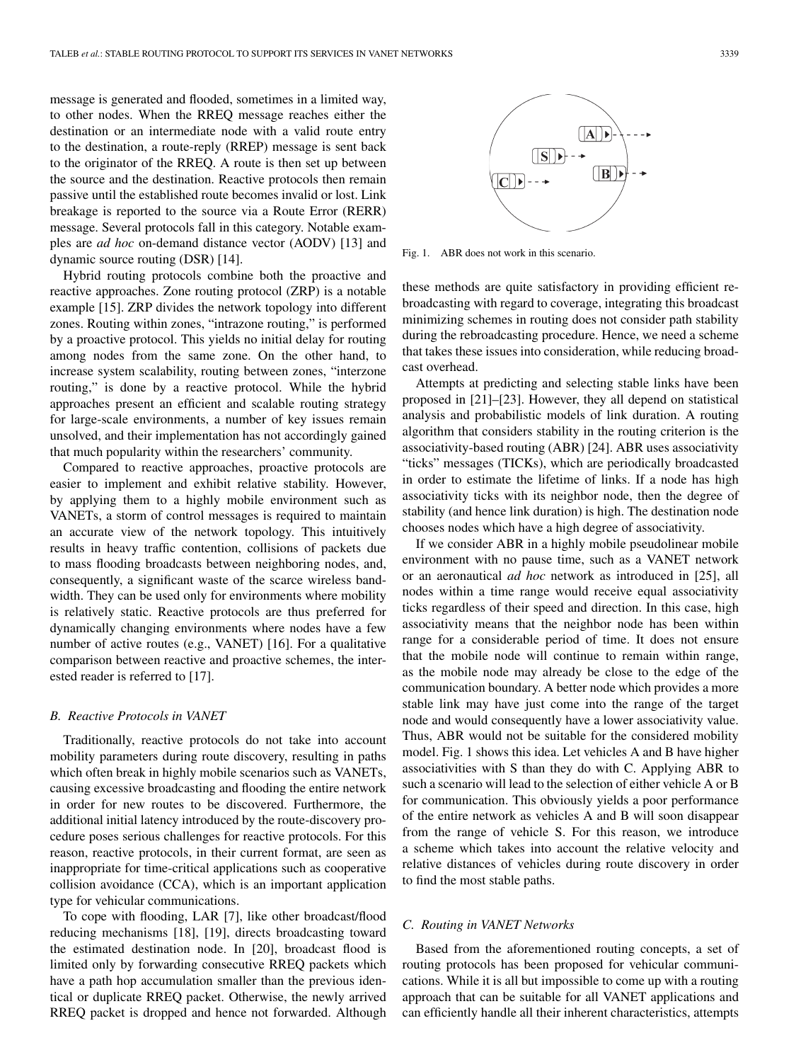message is generated and flooded, sometimes in a limited way, to other nodes. When the RREQ message reaches either the destination or an intermediate node with a valid route entry to the destination, a route-reply (RREP) message is sent back to the originator of the RREQ. A route is then set up between the source and the destination. Reactive protocols then remain passive until the established route becomes invalid or lost. Link breakage is reported to the source via a Route Error (RERR) message. Several protocols fall in this category. Notable examples are *ad hoc* on-demand distance vector (AODV) [13] and dynamic source routing (DSR) [14].

Hybrid routing protocols combine both the proactive and reactive approaches. Zone routing protocol (ZRP) is a notable example [15]. ZRP divides the network topology into different zones. Routing within zones, "intrazone routing," is performed by a proactive protocol. This yields no initial delay for routing among nodes from the same zone. On the other hand, to increase system scalability, routing between zones, "interzone routing," is done by a reactive protocol. While the hybrid approaches present an efficient and scalable routing strategy for large-scale environments, a number of key issues remain unsolved, and their implementation has not accordingly gained that much popularity within the researchers' community.

Compared to reactive approaches, proactive protocols are easier to implement and exhibit relative stability. However, by applying them to a highly mobile environment such as VANETs, a storm of control messages is required to maintain an accurate view of the network topology. This intuitively results in heavy traffic contention, collisions of packets due to mass flooding broadcasts between neighboring nodes, and, consequently, a significant waste of the scarce wireless bandwidth. They can be used only for environments where mobility is relatively static. Reactive protocols are thus preferred for dynamically changing environments where nodes have a few number of active routes (e.g., VANET) [16]. For a qualitative comparison between reactive and proactive schemes, the interested reader is referred to [17].

## *B. Reactive Protocols in VANET*

Traditionally, reactive protocols do not take into account mobility parameters during route discovery, resulting in paths which often break in highly mobile scenarios such as VANETs, causing excessive broadcasting and flooding the entire network in order for new routes to be discovered. Furthermore, the additional initial latency introduced by the route-discovery procedure poses serious challenges for reactive protocols. For this reason, reactive protocols, in their current format, are seen as inappropriate for time-critical applications such as cooperative collision avoidance (CCA), which is an important application type for vehicular communications.

To cope with flooding, LAR [7], like other broadcast/flood reducing mechanisms [18], [19], directs broadcasting toward the estimated destination node. In [20], broadcast flood is limited only by forwarding consecutive RREQ packets which have a path hop accumulation smaller than the previous identical or duplicate RREQ packet. Otherwise, the newly arrived RREQ packet is dropped and hence not forwarded. Although



Fig. 1. ABR does not work in this scenario.

these methods are quite satisfactory in providing efficient rebroadcasting with regard to coverage, integrating this broadcast minimizing schemes in routing does not consider path stability during the rebroadcasting procedure. Hence, we need a scheme that takes these issues into consideration, while reducing broadcast overhead.

Attempts at predicting and selecting stable links have been proposed in [21]–[23]. However, they all depend on statistical analysis and probabilistic models of link duration. A routing algorithm that considers stability in the routing criterion is the associativity-based routing (ABR) [24]. ABR uses associativity "ticks" messages (TICKs), which are periodically broadcasted in order to estimate the lifetime of links. If a node has high associativity ticks with its neighbor node, then the degree of stability (and hence link duration) is high. The destination node chooses nodes which have a high degree of associativity.

If we consider ABR in a highly mobile pseudolinear mobile environment with no pause time, such as a VANET network or an aeronautical *ad hoc* network as introduced in [25], all nodes within a time range would receive equal associativity ticks regardless of their speed and direction. In this case, high associativity means that the neighbor node has been within range for a considerable period of time. It does not ensure that the mobile node will continue to remain within range, as the mobile node may already be close to the edge of the communication boundary. A better node which provides a more stable link may have just come into the range of the target node and would consequently have a lower associativity value. Thus, ABR would not be suitable for the considered mobility model. Fig. 1 shows this idea. Let vehicles A and B have higher associativities with S than they do with C. Applying ABR to such a scenario will lead to the selection of either vehicle A or B for communication. This obviously yields a poor performance of the entire network as vehicles A and B will soon disappear from the range of vehicle S. For this reason, we introduce a scheme which takes into account the relative velocity and relative distances of vehicles during route discovery in order to find the most stable paths.

#### *C. Routing in VANET Networks*

Based from the aforementioned routing concepts, a set of routing protocols has been proposed for vehicular communications. While it is all but impossible to come up with a routing approach that can be suitable for all VANET applications and can efficiently handle all their inherent characteristics, attempts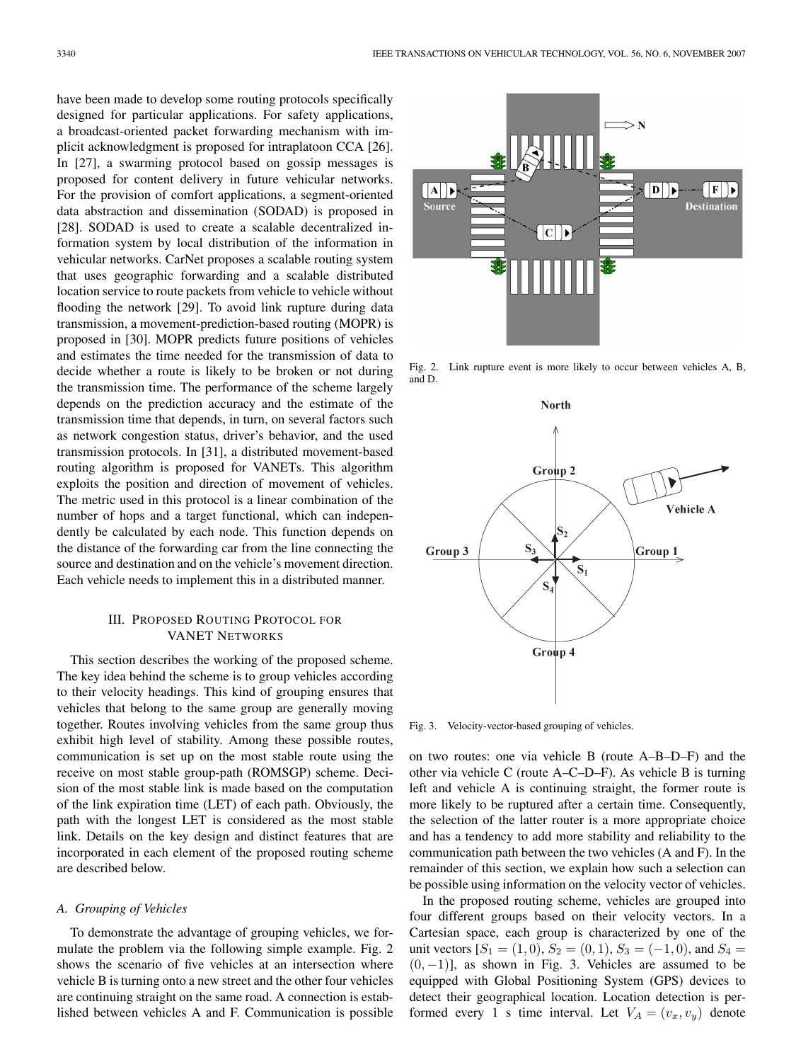have been made to develop some routing protocols specifically designed for particular applications. For safety applications, a broadcast-oriented packet forwarding mechanism with implicit acknowledgment is proposed for intraplatoon CCA [26]. In [27], a swarming protocol based on gossip messages is proposed for content delivery in future vehicular networks. For the provision of comfort applications, a segment-oriented data abstraction and dissemination (SODAD) is proposed in [28]. SODAD is used to create a scalable decentralized information system by local distribution of the information in vehicular networks. CarNet proposes a scalable routing system that uses geographic forwarding and a scalable distributed location service to route packets from vehicle to vehicle without flooding the network [29]. To avoid link rupture during data transmission, a movement-prediction-based routing (MOPR) is proposed in [30]. MOPR predicts future positions of vehicles and estimates the time needed for the transmission of data to decide whether a route is likely to be broken or not during the transmission time. The performance of the scheme largely depends on the prediction accuracy and the estimate of the transmission time that depends, in turn, on several factors such as network congestion status, driver's behavior, and the used transmission protocols. In [31], a distributed movement-based routing algorithm is proposed for VANETs. This algorithm exploits the position and direction of movement of vehicles. The metric used in this protocol is a linear combination of the number of hops and a target functional, which can independently be calculated by each node. This function depends on the distance of the forwarding car from the line connecting the source and destination and on the vehicle's movement direction. Each vehicle needs to implement this in a distributed manner.

# III. PROPOSED ROUTING PROTOCOL FOR VANET NETWORKS

This section describes the working of the proposed scheme. The key idea behind the scheme is to group vehicles according to their velocity headings. This kind of grouping ensures that vehicles that belong to the same group are generally moving together. Routes involving vehicles from the same group thus exhibit high level of stability. Among these possible routes, communication is set up on the most stable route using the receive on most stable group-path (ROMSGP) scheme. Decision of the most stable link is made based on the computation of the link expiration time (LET) of each path. Obviously, the path with the longest LET is considered as the most stable link. Details on the key design and distinct features that are incorporated in each element of the proposed routing scheme are described below.

### *A. Grouping of Vehicles*

To demonstrate the advantage of grouping vehicles, we formulate the problem via the following simple example. Fig. 2 shows the scenario of five vehicles at an intersection where vehicle B is turning onto a new street and the other four vehicles are continuing straight on the same road. A connection is established between vehicles A and F. Communication is possible



Fig. 2. Link rupture event is more likely to occur between vehicles A, B, and D.



Fig. 3. Velocity-vector-based grouping of vehicles.

on two routes: one via vehicle B (route A–B–D–F) and the other via vehicle C (route A–C–D–F). As vehicle B is turning left and vehicle A is continuing straight, the former route is more likely to be ruptured after a certain time. Consequently, the selection of the latter router is a more appropriate choice and has a tendency to add more stability and reliability to the communication path between the two vehicles (A and F). In the remainder of this section, we explain how such a selection can be possible using information on the velocity vector of vehicles.

In the proposed routing scheme, vehicles are grouped into four different groups based on their velocity vectors. In a Cartesian space, each group is characterized by one of the unit vectors  $[S_1 = (1, 0), S_2 = (0, 1), S_3 = (-1, 0),$  and  $S_4 =$  $(0, -1)$ ], as shown in Fig. 3. Vehicles are assumed to be equipped with Global Positioning System (GPS) devices to detect their geographical location. Location detection is performed every 1 s time interval. Let  $V_A = (v_x, v_y)$  denote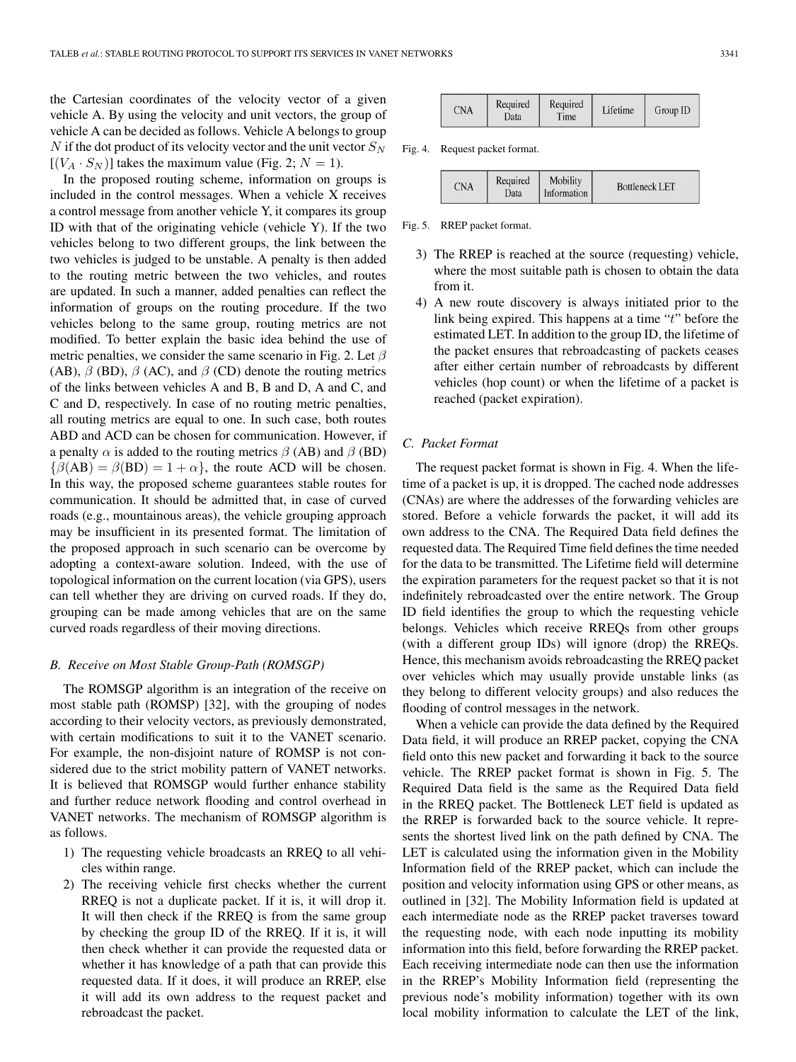the Cartesian coordinates of the velocity vector of a given vehicle A. By using the velocity and unit vectors, the group of vehicle A can be decided as follows. Vehicle A belongs to group N if the dot product of its velocity vector and the unit vector  $S_N$  $[(V_A \cdot S_N)]$  takes the maximum value (Fig. 2;  $N = 1$ ).

In the proposed routing scheme, information on groups is included in the control messages. When a vehicle X receives a control message from another vehicle Y, it compares its group ID with that of the originating vehicle (vehicle Y). If the two vehicles belong to two different groups, the link between the two vehicles is judged to be unstable. A penalty is then added to the routing metric between the two vehicles, and routes are updated. In such a manner, added penalties can reflect the information of groups on the routing procedure. If the two vehicles belong to the same group, routing metrics are not modified. To better explain the basic idea behind the use of metric penalties, we consider the same scenario in Fig. 2. Let  $\beta$ (AB),  $\beta$  (BD),  $\beta$  (AC), and  $\beta$  (CD) denote the routing metrics of the links between vehicles A and B, B and D, A and C, and C and D, respectively. In case of no routing metric penalties, all routing metrics are equal to one. In such case, both routes ABD and ACD can be chosen for communication. However, if a penalty  $\alpha$  is added to the routing metrics  $\beta$  (AB) and  $\beta$  (BD)  $\{\beta(AB) = \beta(BD) = 1 + \alpha\}$ , the route ACD will be chosen. In this way, the proposed scheme guarantees stable routes for communication. It should be admitted that, in case of curved roads (e.g., mountainous areas), the vehicle grouping approach may be insufficient in its presented format. The limitation of the proposed approach in such scenario can be overcome by adopting a context-aware solution. Indeed, with the use of topological information on the current location (via GPS), users can tell whether they are driving on curved roads. If they do, grouping can be made among vehicles that are on the same curved roads regardless of their moving directions.

#### *B. Receive on Most Stable Group-Path (ROMSGP)*

The ROMSGP algorithm is an integration of the receive on most stable path (ROMSP) [32], with the grouping of nodes according to their velocity vectors, as previously demonstrated, with certain modifications to suit it to the VANET scenario. For example, the non-disjoint nature of ROMSP is not considered due to the strict mobility pattern of VANET networks. It is believed that ROMSGP would further enhance stability and further reduce network flooding and control overhead in VANET networks. The mechanism of ROMSGP algorithm is as follows.

- 1) The requesting vehicle broadcasts an RREQ to all vehicles within range.
- 2) The receiving vehicle first checks whether the current RREQ is not a duplicate packet. If it is, it will drop it. It will then check if the RREQ is from the same group by checking the group ID of the RREQ. If it is, it will then check whether it can provide the requested data or whether it has knowledge of a path that can provide this requested data. If it does, it will produce an RREP, else it will add its own address to the request packet and rebroadcast the packet.

Fig. 4. Request packet format.

| CNA | Required<br>Data | Mobility<br>Information | <b>Bottleneck LET</b> |
|-----|------------------|-------------------------|-----------------------|
|-----|------------------|-------------------------|-----------------------|

Fig. 5. RREP packet format.

- 3) The RREP is reached at the source (requesting) vehicle, where the most suitable path is chosen to obtain the data from it.
- 4) A new route discovery is always initiated prior to the link being expired. This happens at a time "t" before the estimated LET. In addition to the group ID, the lifetime of the packet ensures that rebroadcasting of packets ceases after either certain number of rebroadcasts by different vehicles (hop count) or when the lifetime of a packet is reached (packet expiration).

## *C. Packet Format*

The request packet format is shown in Fig. 4. When the lifetime of a packet is up, it is dropped. The cached node addresses (CNAs) are where the addresses of the forwarding vehicles are stored. Before a vehicle forwards the packet, it will add its own address to the CNA. The Required Data field defines the requested data. The Required Time field defines the time needed for the data to be transmitted. The Lifetime field will determine the expiration parameters for the request packet so that it is not indefinitely rebroadcasted over the entire network. The Group ID field identifies the group to which the requesting vehicle belongs. Vehicles which receive RREQs from other groups (with a different group IDs) will ignore (drop) the RREQs. Hence, this mechanism avoids rebroadcasting the RREQ packet over vehicles which may usually provide unstable links (as they belong to different velocity groups) and also reduces the flooding of control messages in the network.

When a vehicle can provide the data defined by the Required Data field, it will produce an RREP packet, copying the CNA field onto this new packet and forwarding it back to the source vehicle. The RREP packet format is shown in Fig. 5. The Required Data field is the same as the Required Data field in the RREQ packet. The Bottleneck LET field is updated as the RREP is forwarded back to the source vehicle. It represents the shortest lived link on the path defined by CNA. The LET is calculated using the information given in the Mobility Information field of the RREP packet, which can include the position and velocity information using GPS or other means, as outlined in [32]. The Mobility Information field is updated at each intermediate node as the RREP packet traverses toward the requesting node, with each node inputting its mobility information into this field, before forwarding the RREP packet. Each receiving intermediate node can then use the information in the RREP's Mobility Information field (representing the previous node's mobility information) together with its own local mobility information to calculate the LET of the link,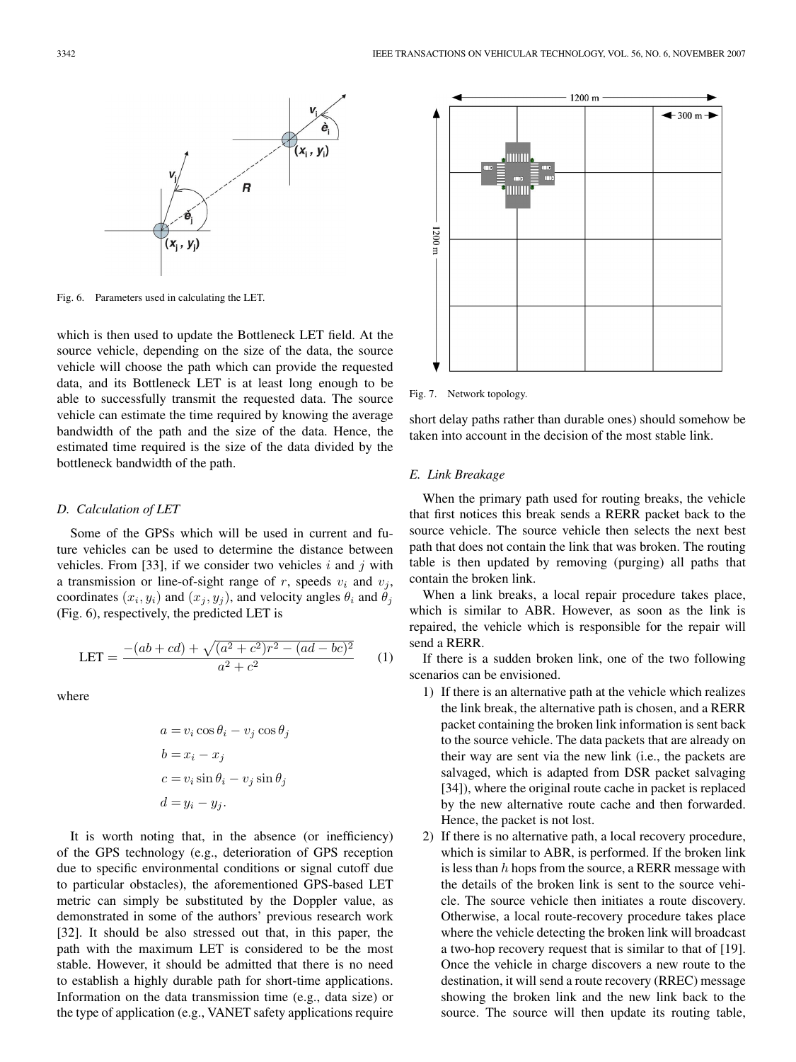

Fig. 6. Parameters used in calculating the LET.

which is then used to update the Bottleneck LET field. At the source vehicle, depending on the size of the data, the source vehicle will choose the path which can provide the requested data, and its Bottleneck LET is at least long enough to be able to successfully transmit the requested data. The source vehicle can estimate the time required by knowing the average bandwidth of the path and the size of the data. Hence, the estimated time required is the size of the data divided by the bottleneck bandwidth of the path.

## *D. Calculation of LET*

Some of the GPSs which will be used in current and future vehicles can be used to determine the distance between vehicles. From [33], if we consider two vehicles  $i$  and  $j$  with a transmission or line-of-sight range of r, speeds  $v_i$  and  $v_j$ , coordinates  $(x_i, y_i)$  and  $(x_j, y_j)$ , and velocity angles  $\theta_i$  and  $\theta_j$ (Fig. 6), respectively, the predicted LET is

$$
LET = \frac{-(ab+cd) + \sqrt{(a^2+c^2)r^2 - (ad-bc)^2}}{a^2+c^2}
$$
 (1)

where

$$
a = v_i \cos \theta_i - v_j \cos \theta_j
$$
  
\n
$$
b = x_i - x_j
$$
  
\n
$$
c = v_i \sin \theta_i - v_j \sin \theta_j
$$
  
\n
$$
d = y_i - y_j.
$$

It is worth noting that, in the absence (or inefficiency) of the GPS technology (e.g., deterioration of GPS reception due to specific environmental conditions or signal cutoff due to particular obstacles), the aforementioned GPS-based LET metric can simply be substituted by the Doppler value, as demonstrated in some of the authors' previous research work [32]. It should be also stressed out that, in this paper, the path with the maximum LET is considered to be the most stable. However, it should be admitted that there is no need to establish a highly durable path for short-time applications. Information on the data transmission time (e.g., data size) or the type of application (e.g., VANET safety applications require



Fig. 7. Network topology.

short delay paths rather than durable ones) should somehow be taken into account in the decision of the most stable link.

#### *E. Link Breakage*

When the primary path used for routing breaks, the vehicle that first notices this break sends a RERR packet back to the source vehicle. The source vehicle then selects the next best path that does not contain the link that was broken. The routing table is then updated by removing (purging) all paths that contain the broken link.

When a link breaks, a local repair procedure takes place, which is similar to ABR. However, as soon as the link is repaired, the vehicle which is responsible for the repair will send a RERR.

If there is a sudden broken link, one of the two following scenarios can be envisioned.

- 1) If there is an alternative path at the vehicle which realizes the link break, the alternative path is chosen, and a RERR packet containing the broken link information is sent back to the source vehicle. The data packets that are already on their way are sent via the new link (i.e., the packets are salvaged, which is adapted from DSR packet salvaging [34]), where the original route cache in packet is replaced by the new alternative route cache and then forwarded. Hence, the packet is not lost.
- 2) If there is no alternative path, a local recovery procedure, which is similar to ABR, is performed. If the broken link is less than  $h$  hops from the source, a RERR message with the details of the broken link is sent to the source vehicle. The source vehicle then initiates a route discovery. Otherwise, a local route-recovery procedure takes place where the vehicle detecting the broken link will broadcast a two-hop recovery request that is similar to that of [19]. Once the vehicle in charge discovers a new route to the destination, it will send a route recovery (RREC) message showing the broken link and the new link back to the source. The source will then update its routing table,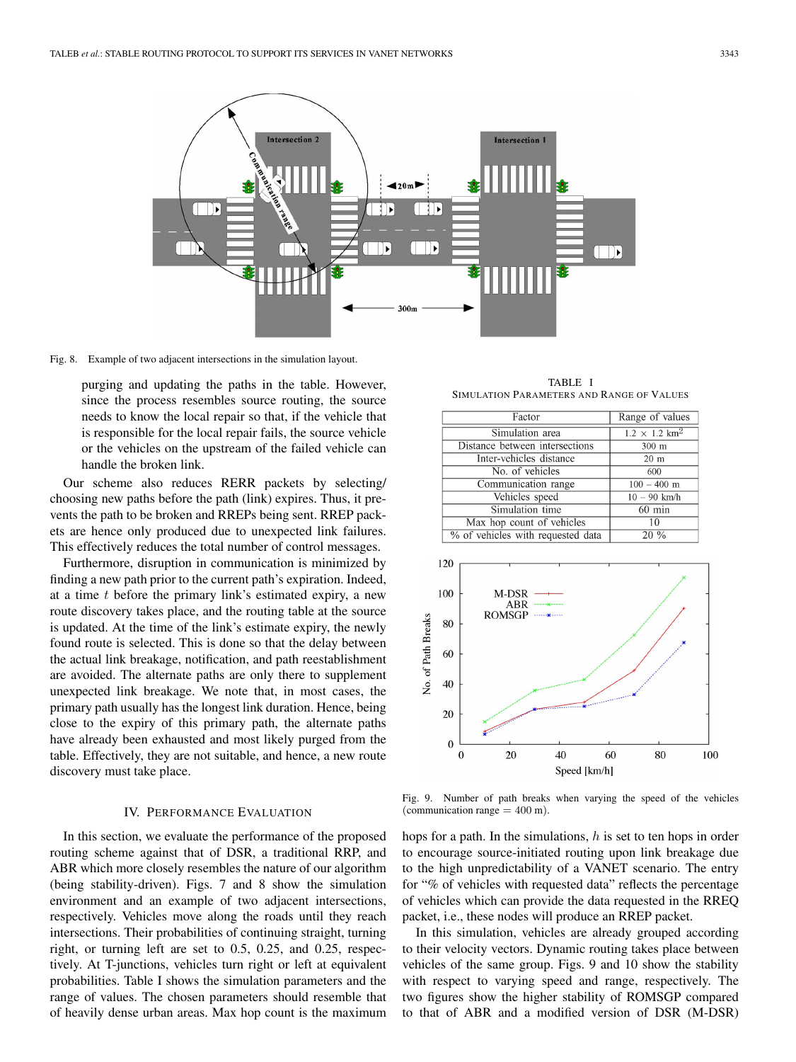

Fig. 8. Example of two adjacent intersections in the simulation layout.

purging and updating the paths in the table. However, since the process resembles source routing, the source needs to know the local repair so that, if the vehicle that is responsible for the local repair fails, the source vehicle or the vehicles on the upstream of the failed vehicle can handle the broken link.

Our scheme also reduces RERR packets by selecting/ choosing new paths before the path (link) expires. Thus, it prevents the path to be broken and RREPs being sent. RREP packets are hence only produced due to unexpected link failures. This effectively reduces the total number of control messages.

Furthermore, disruption in communication is minimized by finding a new path prior to the current path's expiration. Indeed, at a time  $t$  before the primary link's estimated expiry, a new route discovery takes place, and the routing table at the source is updated. At the time of the link's estimate expiry, the newly found route is selected. This is done so that the delay between the actual link breakage, notification, and path reestablishment are avoided. The alternate paths are only there to supplement unexpected link breakage. We note that, in most cases, the primary path usually has the longest link duration. Hence, being close to the expiry of this primary path, the alternate paths have already been exhausted and most likely purged from the table. Effectively, they are not suitable, and hence, a new route discovery must take place.

## IV. PERFORMANCE EVALUATION

In this section, we evaluate the performance of the proposed routing scheme against that of DSR, a traditional RRP, and ABR which more closely resembles the nature of our algorithm (being stability-driven). Figs. 7 and 8 show the simulation environment and an example of two adjacent intersections, respectively. Vehicles move along the roads until they reach intersections. Their probabilities of continuing straight, turning right, or turning left are set to 0.5, 0.25, and 0.25, respectively. At T-junctions, vehicles turn right or left at equivalent probabilities. Table I shows the simulation parameters and the range of values. The chosen parameters should resemble that of heavily dense urban areas. Max hop count is the maximum

TABLE I SIMULATION PARAMETERS AND RANGE OF VALUES

|                    |           | Factor                            | Range of values               |  |
|--------------------|-----------|-----------------------------------|-------------------------------|--|
|                    |           | Simulation area                   | $1.2 \times 1.2 \text{ km}^2$ |  |
|                    |           | Distance between intersections    | 300 m                         |  |
|                    |           | Inter-vehicles distance           | 20 <sub>m</sub>               |  |
|                    |           | No. of vehicles                   | 600                           |  |
|                    |           | Communication range               | $100 - 400$ m                 |  |
|                    |           | Vehicles speed                    | $10 - 90$ km/h                |  |
|                    |           | Simulation time                   | $60$ min                      |  |
|                    |           | Max hop count of vehicles         | 10                            |  |
|                    |           | % of vehicles with requested data | 20 %                          |  |
|                    | 120       |                                   |                               |  |
|                    | 100<br>80 | M-DSR<br>ABR<br>ROMSGP            |                               |  |
| No. of Path Breaks | 60        |                                   |                               |  |
|                    | 40        |                                   |                               |  |

 $\Omega$  $\Omega$ 20 60 80 100 40 Speed [km/h] Fig. 9. Number of path breaks when varying the speed of the vehicles (communication range  $= 400$  m).

20

hops for a path. In the simulations,  $h$  is set to ten hops in order to encourage source-initiated routing upon link breakage due to the high unpredictability of a VANET scenario. The entry for "% of vehicles with requested data" reflects the percentage of vehicles which can provide the data requested in the RREQ packet, i.e., these nodes will produce an RREP packet.

In this simulation, vehicles are already grouped according to their velocity vectors. Dynamic routing takes place between vehicles of the same group. Figs. 9 and 10 show the stability with respect to varying speed and range, respectively. The two figures show the higher stability of ROMSGP compared to that of ABR and a modified version of DSR (M-DSR)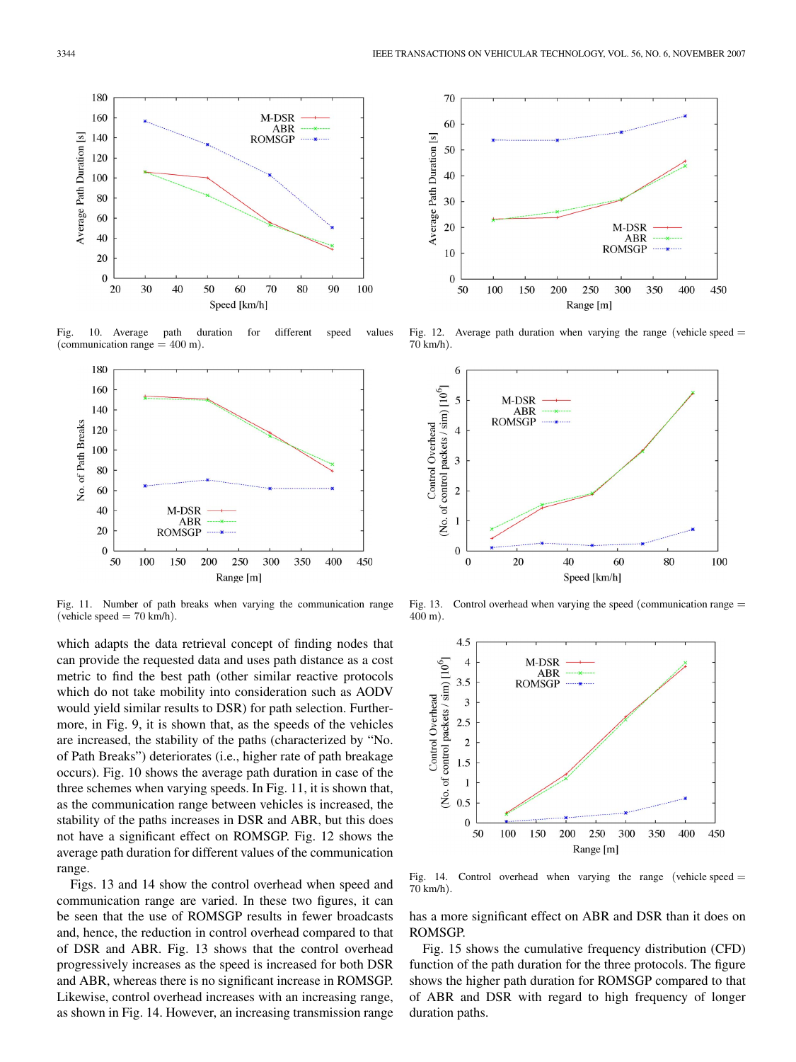

Fig. 10. Average path duration for different speed values (communication range  $= 400$  m)



Fig. 11. Number of path breaks when varying the communication range (vehicle speed  $= 70$  km/h).

which adapts the data retrieval concept of finding nodes that can provide the requested data and uses path distance as a cost metric to find the best path (other similar reactive protocols which do not take mobility into consideration such as AODV would yield similar results to DSR) for path selection. Furthermore, in Fig. 9, it is shown that, as the speeds of the vehicles are increased, the stability of the paths (characterized by "No. of Path Breaks") deteriorates (i.e., higher rate of path breakage occurs). Fig. 10 shows the average path duration in case of the three schemes when varying speeds. In Fig. 11, it is shown that, as the communication range between vehicles is increased, the stability of the paths increases in DSR and ABR, but this does not have a significant effect on ROMSGP. Fig. 12 shows the average path duration for different values of the communication range.

Figs. 13 and 14 show the control overhead when speed and communication range are varied. In these two figures, it can be seen that the use of ROMSGP results in fewer broadcasts and, hence, the reduction in control overhead compared to that of DSR and ABR. Fig. 13 shows that the control overhead progressively increases as the speed is increased for both DSR and ABR, whereas there is no significant increase in ROMSGP. Likewise, control overhead increases with an increasing range, as shown in Fig. 14. However, an increasing transmission range



Fig. 12. Average path duration when varying the range (vehicle speed  $=$ 70 km/h).



Fig. 13. Control overhead when varying the speed (communication range  $=$ 400 m).



Fig. 14. Control overhead when varying the range (vehicle speed  $=$ 70 km/h).

has a more significant effect on ABR and DSR than it does on ROMSGP.

Fig. 15 shows the cumulative frequency distribution (CFD) function of the path duration for the three protocols. The figure shows the higher path duration for ROMSGP compared to that of ABR and DSR with regard to high frequency of longer duration paths.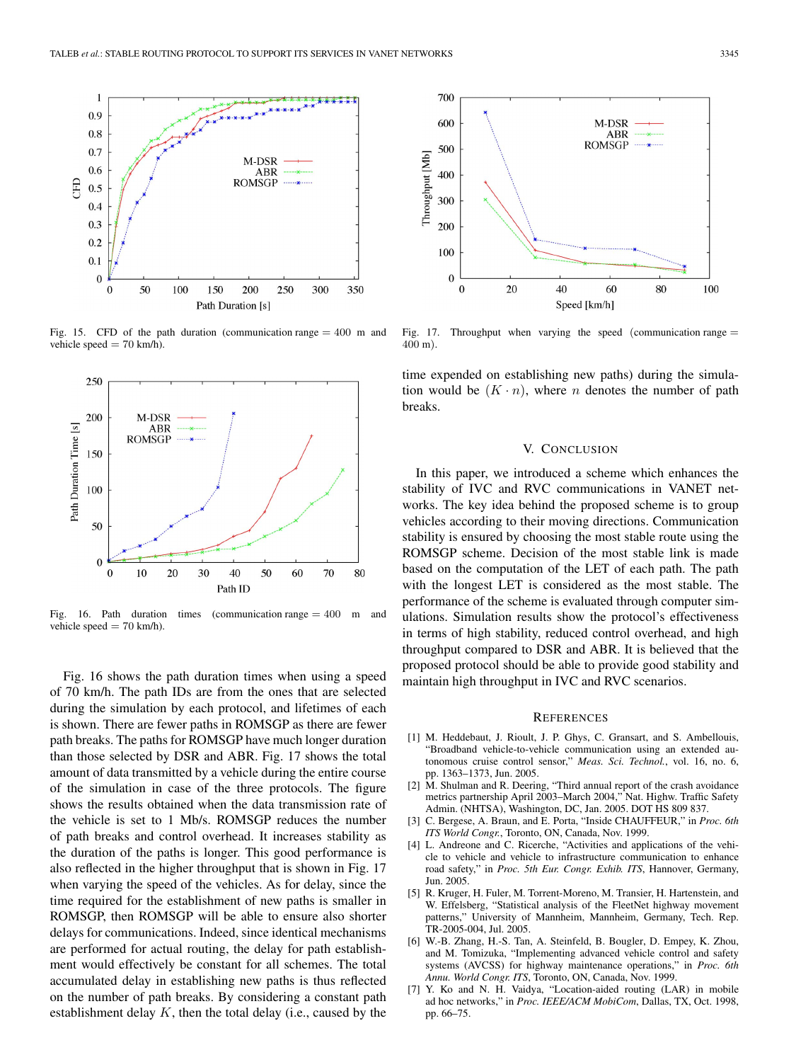

Fig. 15. CFD of the path duration (communication range  $= 400$  m and vehicle speed  $= 70$  km/h).



Fig. 16. Path duration times (communication range  $= 400$  m and vehicle speed  $= 70$  km/h).

Fig. 16 shows the path duration times when using a speed of 70 km/h. The path IDs are from the ones that are selected during the simulation by each protocol, and lifetimes of each is shown. There are fewer paths in ROMSGP as there are fewer path breaks. The paths for ROMSGP have much longer duration than those selected by DSR and ABR. Fig. 17 shows the total amount of data transmitted by a vehicle during the entire course of the simulation in case of the three protocols. The figure shows the results obtained when the data transmission rate of the vehicle is set to 1 Mb/s. ROMSGP reduces the number of path breaks and control overhead. It increases stability as the duration of the paths is longer. This good performance is also reflected in the higher throughput that is shown in Fig. 17 when varying the speed of the vehicles. As for delay, since the time required for the establishment of new paths is smaller in ROMSGP, then ROMSGP will be able to ensure also shorter delays for communications. Indeed, since identical mechanisms are performed for actual routing, the delay for path establishment would effectively be constant for all schemes. The total accumulated delay in establishing new paths is thus reflected on the number of path breaks. By considering a constant path establishment delay  $K$ , then the total delay (i.e., caused by the



Fig. 17. Throughput when varying the speed (communication range = 400 m).

time expended on establishing new paths) during the simulation would be  $(K \cdot n)$ , where *n* denotes the number of path breaks.

## V. CONCLUSION

In this paper, we introduced a scheme which enhances the stability of IVC and RVC communications in VANET networks. The key idea behind the proposed scheme is to group vehicles according to their moving directions. Communication stability is ensured by choosing the most stable route using the ROMSGP scheme. Decision of the most stable link is made based on the computation of the LET of each path. The path with the longest LET is considered as the most stable. The performance of the scheme is evaluated through computer simulations. Simulation results show the protocol's effectiveness in terms of high stability, reduced control overhead, and high throughput compared to DSR and ABR. It is believed that the proposed protocol should be able to provide good stability and maintain high throughput in IVC and RVC scenarios.

#### **REFERENCES**

- [1] M. Heddebaut, J. Rioult, J. P. Ghys, C. Gransart, and S. Ambellouis, "Broadband vehicle-to-vehicle communication using an extended autonomous cruise control sensor," *Meas. Sci. Technol.*, vol. 16, no. 6, pp. 1363–1373, Jun. 2005.
- [2] M. Shulman and R. Deering, "Third annual report of the crash avoidance metrics partnership April 2003–March 2004," Nat. Highw. Traffic Safety Admin. (NHTSA), Washington, DC, Jan. 2005. DOT HS 809 837.
- [3] C. Bergese, A. Braun, and E. Porta, "Inside CHAUFFEUR," in *Proc. 6th ITS World Congr.*, Toronto, ON, Canada, Nov. 1999.
- [4] L. Andreone and C. Ricerche, "Activities and applications of the vehicle to vehicle and vehicle to infrastructure communication to enhance road safety," in *Proc. 5th Eur. Congr. Exhib. ITS*, Hannover, Germany, Jun. 2005.
- [5] R. Kruger, H. Fuler, M. Torrent-Moreno, M. Transier, H. Hartenstein, and W. Effelsberg, "Statistical analysis of the FleetNet highway movement patterns," University of Mannheim, Mannheim, Germany, Tech. Rep. TR-2005-004, Jul. 2005.
- [6] W.-B. Zhang, H.-S. Tan, A. Steinfeld, B. Bougler, D. Empey, K. Zhou, and M. Tomizuka, "Implementing advanced vehicle control and safety systems (AVCSS) for highway maintenance operations," in *Proc. 6th Annu. World Congr. ITS*, Toronto, ON, Canada, Nov. 1999.
- [7] Y. Ko and N. H. Vaidya, "Location-aided routing (LAR) in mobile ad hoc networks," in *Proc. IEEE/ACM MobiCom*, Dallas, TX, Oct. 1998, pp. 66–75.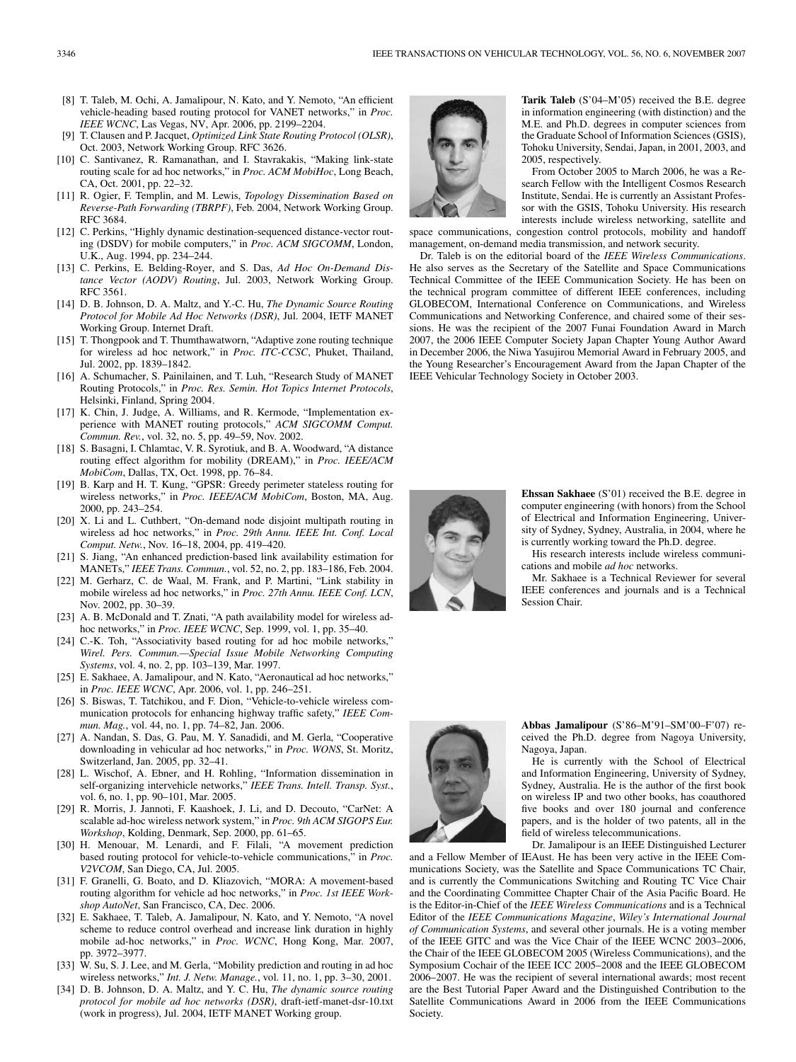- [8] T. Taleb, M. Ochi, A. Jamalipour, N. Kato, and Y. Nemoto, "An efficient vehicle-heading based routing protocol for VANET networks," in *Proc. IEEE WCNC*, Las Vegas, NV, Apr. 2006, pp. 2199–2204.
- [9] T. Clausen and P. Jacquet, *Optimized Link State Routing Protocol (OLSR)*, Oct. 2003, Network Working Group. RFC 3626.
- [10] C. Santivanez, R. Ramanathan, and I. Stavrakakis, "Making link-state routing scale for ad hoc networks," in *Proc. ACM MobiHoc*, Long Beach, CA, Oct. 2001, pp. 22–32.
- [11] R. Ogier, F. Templin, and M. Lewis, *Topology Dissemination Based on Reverse-Path Forwarding (TBRPF)*, Feb. 2004, Network Working Group. RFC 3684.
- [12] C. Perkins, "Highly dynamic destination-sequenced distance-vector routing (DSDV) for mobile computers," in *Proc. ACM SIGCOMM*, London, U.K., Aug. 1994, pp. 234–244.
- [13] C. Perkins, E. Belding-Royer, and S. Das, *Ad Hoc On-Demand Dis*tance Vector (AODV) Routing, Jul. 2003, Network Working Group. RFC 3561.
- [14] D. B. Johnson, D. A. Maltz, and Y.-C. Hu, *The Dynamic Source Routing Protocol for Mobile Ad Hoc Networks (DSR)*, Jul. 2004, IETF MANET Working Group. Internet Draft.
- [15] T. Thongpook and T. Thumthawatworn, "Adaptive zone routing technique for wireless ad hoc network," in *Proc. ITC-CCSC*, Phuket, Thailand, Jul. 2002, pp. 1839–1842.
- [16] A. Schumacher, S. Painilainen, and T. Luh, "Research Study of MANET Routing Protocols," in *Proc. Res. Semin. Hot Topics Internet Protocols*, Helsinki, Finland, Spring 2004.
- [17] K. Chin, J. Judge, A. Williams, and R. Kermode, "Implementation experience with MANET routing protocols," *ACM SIGCOMM Comput. Commun. Rev.*, vol. 32, no. 5, pp. 49–59, Nov. 2002.
- [18] S. Basagni, I. Chlamtac, V. R. Syrotiuk, and B. A. Woodward, "A distance routing effect algorithm for mobility (DREAM)," in *Proc. IEEE/ACM MobiCom*, Dallas, TX, Oct. 1998, pp. 76–84.
- [19] B. Karp and H. T. Kung, "GPSR: Greedy perimeter stateless routing for wireless networks," in *Proc. IEEE/ACM MobiCom*, Boston, MA, Aug. 2000, pp. 243–254.
- [20] X. Li and L. Cuthbert, "On-demand node disjoint multipath routing in wireless ad hoc networks," in *Proc. 29th Annu. IEEE Int. Conf. Local Comput. Netw.*, Nov. 16–18, 2004, pp. 419–420.
- [21] S. Jiang, "An enhanced prediction-based link availability estimation for MANETs," *IEEE Trans. Commun.*, vol. 52, no. 2, pp. 183–186, Feb. 2004.
- [22] M. Gerharz, C. de Waal, M. Frank, and P. Martini, "Link stability in mobile wireless ad hoc networks," in *Proc. 27th Annu. IEEE Conf. LCN*, Nov. 2002, pp. 30–39.
- [23] A. B. McDonald and T. Znati, "A path availability model for wireless adhoc networks," in *Proc. IEEE WCNC*, Sep. 1999, vol. 1, pp. 35–40.
- [24] C.-K. Toh, "Associativity based routing for ad hoc mobile networks," *Wirel. Pers. Commun.—Special Issue Mobile Networking Computing Systems*, vol. 4, no. 2, pp. 103–139, Mar. 1997.
- [25] E. Sakhaee, A. Jamalipour, and N. Kato, "Aeronautical ad hoc networks," in *Proc. IEEE WCNC*, Apr. 2006, vol. 1, pp. 246–251.
- [26] S. Biswas, T. Tatchikou, and F. Dion, "Vehicle-to-vehicle wireless communication protocols for enhancing highway traffic safety," *IEEE Commun. Mag.*, vol. 44, no. 1, pp. 74–82, Jan. 2006.
- [27] A. Nandan, S. Das, G. Pau, M. Y. Sanadidi, and M. Gerla, "Cooperative downloading in vehicular ad hoc networks," in *Proc. WONS*, St. Moritz, Switzerland, Jan. 2005, pp. 32–41.
- [28] L. Wischof, A. Ebner, and H. Rohling, "Information dissemination in self-organizing intervehicle networks," *IEEE Trans. Intell. Transp. Syst.*, vol. 6, no. 1, pp. 90–101, Mar. 2005.
- [29] R. Morris, J. Jannoti, F. Kaashoek, J. Li, and D. Decouto, "CarNet: A scalable ad-hoc wireless network system," in *Proc. 9th ACM SIGOPS Eur. Workshop*, Kolding, Denmark, Sep. 2000, pp. 61–65.
- [30] H. Menouar, M. Lenardi, and F. Filali, "A movement prediction based routing protocol for vehicle-to-vehicle communications," in *Proc. V2VCOM*, San Diego, CA, Jul. 2005.
- [31] F. Granelli, G. Boato, and D. Kliazovich, "MORA: A movement-based routing algorithm for vehicle ad hoc networks," in *Proc. 1st IEEE Workshop AutoNet*, San Francisco, CA, Dec. 2006.
- [32] E. Sakhaee, T. Taleb, A. Jamalipour, N. Kato, and Y. Nemoto, "A novel scheme to reduce control overhead and increase link duration in highly mobile ad-hoc networks," in *Proc. WCNC*, Hong Kong, Mar. 2007, pp. 3972–3977.
- [33] W. Su, S. J. Lee, and M. Gerla, "Mobility prediction and routing in ad hoc wireless networks," *Int. J. Netw. Manage.*, vol. 11, no. 1, pp. 3–30, 2001.
- [34] D. B. Johnson, D. A. Maltz, and Y. C. Hu, *The dynamic source routing protocol for mobile ad hoc networks (DSR)*, draft-ietf-manet-dsr-10.txt (work in progress), Jul. 2004, IETF MANET Working group.



**Tarik Taleb** (S'04–M'05) received the B.E. degree in information engineering (with distinction) and the M.E. and Ph.D. degrees in computer sciences from the Graduate School of Information Sciences (GSIS), Tohoku University, Sendai, Japan, in 2001, 2003, and 2005, respectively.

From October 2005 to March 2006, he was a Research Fellow with the Intelligent Cosmos Research Institute, Sendai. He is currently an Assistant Professor with the GSIS, Tohoku University. His research interests include wireless networking, satellite and

space communications, congestion control protocols, mobility and handoff management, on-demand media transmission, and network security.

Dr. Taleb is on the editorial board of the *IEEE Wireless Communications*. He also serves as the Secretary of the Satellite and Space Communications Technical Committee of the IEEE Communication Society. He has been on the technical program committee of different IEEE conferences, including GLOBECOM, International Conference on Communications, and Wireless Communications and Networking Conference, and chaired some of their sessions. He was the recipient of the 2007 Funai Foundation Award in March 2007, the 2006 IEEE Computer Society Japan Chapter Young Author Award in December 2006, the Niwa Yasujirou Memorial Award in February 2005, and the Young Researcher's Encouragement Award from the Japan Chapter of the IEEE Vehicular Technology Society in October 2003.



**Ehssan Sakhaee** (S'01) received the B.E. degree in computer engineering (with honors) from the School of Electrical and Information Engineering, University of Sydney, Sydney, Australia, in 2004, where he is currently working toward the Ph.D. degree.

His research interests include wireless communications and mobile *ad hoc* networks.

Mr. Sakhaee is a Technical Reviewer for several IEEE conferences and journals and is a Technical Session Chair.



**Abbas Jamalipour** (S'86–M'91–SM'00–F'07) received the Ph.D. degree from Nagoya University, Nagoya, Japan.

He is currently with the School of Electrical and Information Engineering, University of Sydney, Sydney, Australia. He is the author of the first book on wireless IP and two other books, has coauthored five books and over 180 journal and conference papers, and is the holder of two patents, all in the field of wireless telecommunications.

Dr. Jamalipour is an IEEE Distinguished Lecturer and a Fellow Member of IEAust. He has been very active in the IEEE Communications Society, was the Satellite and Space Communications TC Chair, and is currently the Communications Switching and Routing TC Vice Chair and the Coordinating Committee Chapter Chair of the Asia Pacific Board. He is the Editor-in-Chief of the *IEEE Wireless Communications* and is a Technical Editor of the *IEEE Communications Magazine*, *Wiley's International Journal of Communication Systems*, and several other journals. He is a voting member of the IEEE GITC and was the Vice Chair of the IEEE WCNC 2003–2006, the Chair of the IEEE GLOBECOM 2005 (Wireless Communications), and the Symposium Cochair of the IEEE ICC 2005–2008 and the IEEE GLOBECOM 2006–2007. He was the recipient of several international awards; most recent are the Best Tutorial Paper Award and the Distinguished Contribution to the Satellite Communications Award in 2006 from the IEEE Communications Society.